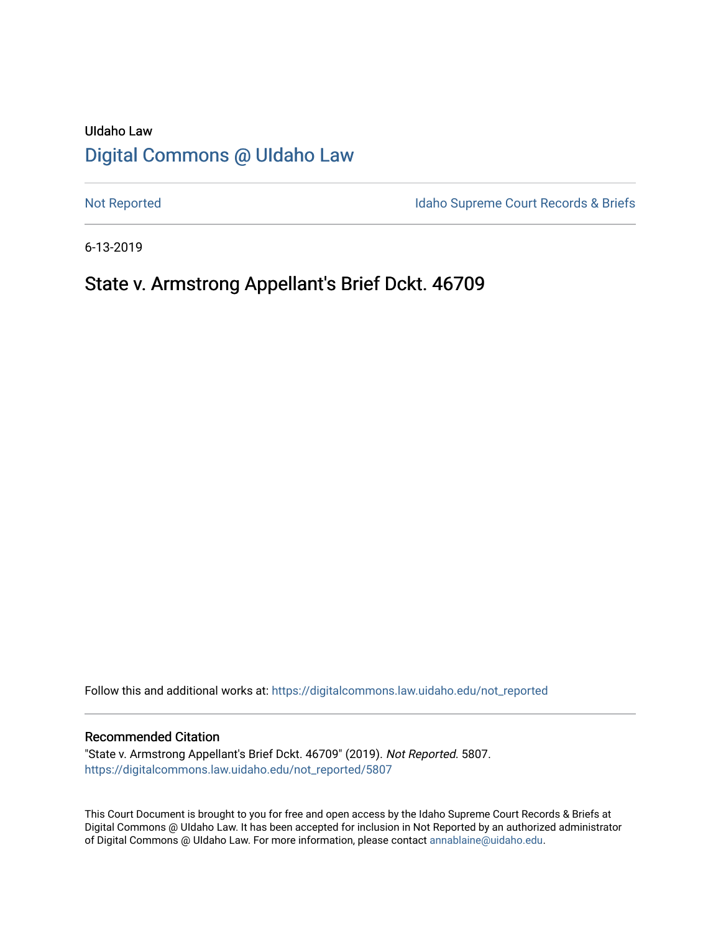# UIdaho Law [Digital Commons @ UIdaho Law](https://digitalcommons.law.uidaho.edu/)

[Not Reported](https://digitalcommons.law.uidaho.edu/not_reported) **Idaho Supreme Court Records & Briefs** 

6-13-2019

# State v. Armstrong Appellant's Brief Dckt. 46709

Follow this and additional works at: [https://digitalcommons.law.uidaho.edu/not\\_reported](https://digitalcommons.law.uidaho.edu/not_reported?utm_source=digitalcommons.law.uidaho.edu%2Fnot_reported%2F5807&utm_medium=PDF&utm_campaign=PDFCoverPages) 

#### Recommended Citation

"State v. Armstrong Appellant's Brief Dckt. 46709" (2019). Not Reported. 5807. [https://digitalcommons.law.uidaho.edu/not\\_reported/5807](https://digitalcommons.law.uidaho.edu/not_reported/5807?utm_source=digitalcommons.law.uidaho.edu%2Fnot_reported%2F5807&utm_medium=PDF&utm_campaign=PDFCoverPages)

This Court Document is brought to you for free and open access by the Idaho Supreme Court Records & Briefs at Digital Commons @ UIdaho Law. It has been accepted for inclusion in Not Reported by an authorized administrator of Digital Commons @ UIdaho Law. For more information, please contact [annablaine@uidaho.edu](mailto:annablaine@uidaho.edu).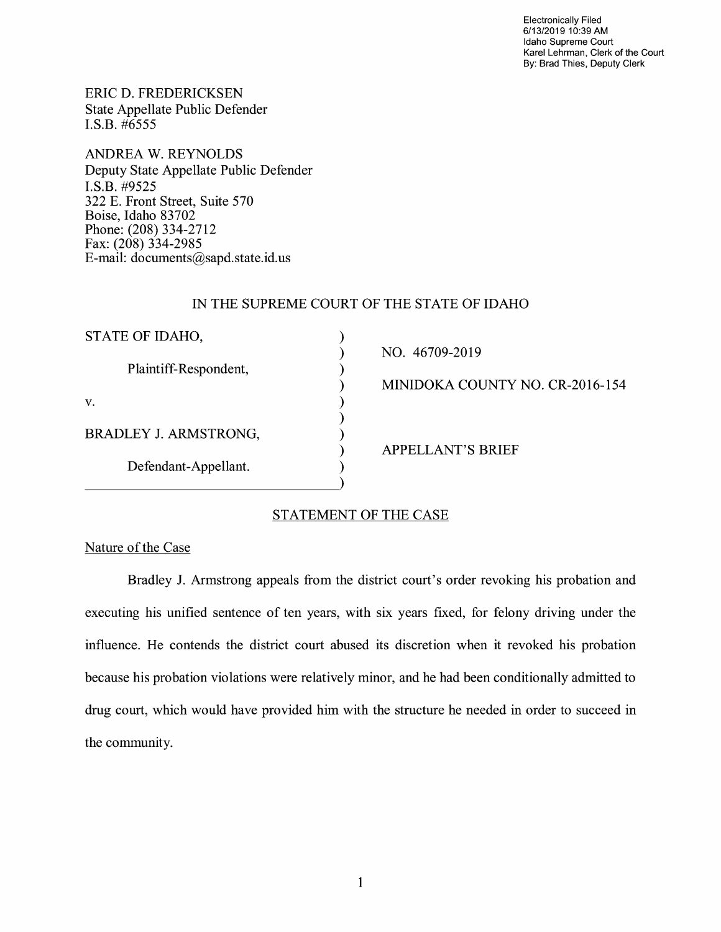Electronically Filed 6/13/2019 10:39 AM Idaho Supreme Court Karel Lehrman, Clerk of the Court By: Brad Thies, Deputy Clerk

ERIC D. FREDERICKSEN State Appellate Public Defender I.S.B. #6555

**ANDREA W. REYNOLDS**  Deputy State Appellate Public Defender **I.S.B.** #9525 322 E. Front Street, Suite 570 Boise, Idaho 83702 Phone: (208) 334-2712 Fax: (208) 334-2985 E-mail: documents@sapd.state.id. us

#### IN THE SUPREME COURT OF THE STATE OF IDAHO

| STATE OF IDAHO,       |  |
|-----------------------|--|
|                       |  |
| Plaintiff-Respondent, |  |
|                       |  |
| V.                    |  |
|                       |  |
| BRADLEY J. ARMSTRONG, |  |
|                       |  |
| Defendant-Appellant.  |  |
|                       |  |

NO. 46709-2019

MINIDOKA COUNTY NO. CR-2016-154

APPELLANT'S BRIEF

### STATEMENT OF THE CASE

Nature of the Case

Bradley J. Armstrong appeals from the district court's order revoking his probation and executing his unified sentence of ten years, with six years fixed, for felony driving under the influence. He contends the district court abused its discretion when it revoked his probation because his probation violations were relatively minor, and he had been conditionally admitted to drug court, which would have provided him with the structure he needed in order to succeed in the community.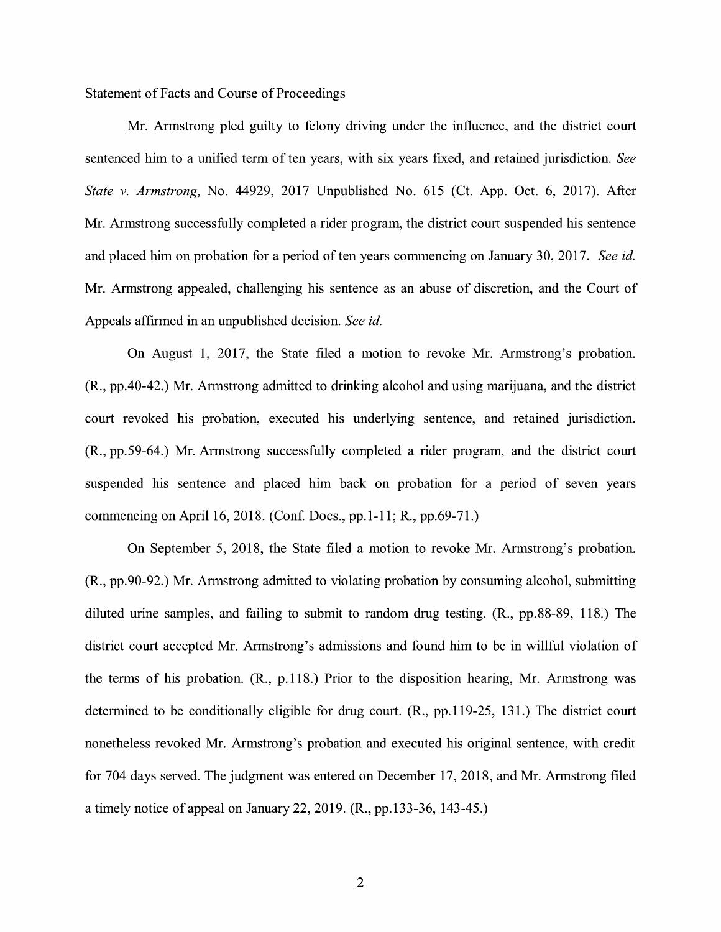#### Statement of Facts and Course of Proceedings

Mr. Armstrong pled guilty to felony driving under the influence, and the district court sentenced him to a unified term of ten years, with six years fixed, and retained jurisdiction. *See State v. Armstrong,* No. 44929, 2017 Unpublished No. 615 (Ct. App. Oct. 6, 2017). After Mr. Armstrong successfully completed a rider program, the district court suspended his sentence and placed him on probation for a period of ten years commencing on January 30, 2017. *See id.* Mr. Armstrong appealed, challenging his sentence as an abuse of discretion, and the Court of Appeals affirmed in an unpublished decision. *See id.* 

On August 1, 2017, the State filed a motion to revoke Mr. Armstrong's probation. (R., pp.40-42.) Mr. Armstrong admitted to drinking alcohol and using marijuana, and the district court revoked his probation, executed his underlying sentence, and retained jurisdiction. (R., pp.59-64.) Mr. Armstrong successfully completed a rider program, and the district court suspended his sentence and placed him back on probation for a period of seven years commencing on April 16, 2018. (Conf. Docs., pp. 1-11; R., pp. 69-71.)

On September 5, 2018, the State filed a motion to revoke Mr. Armstrong's probation. (R., pp.90-92.) Mr. Armstrong admitted to violating probation by consuming alcohol, submitting diluted urine samples, and failing to submit to random drug testing. (R., pp.88-89, 118.) The district court accepted Mr. Armstrong's admissions and found him to be in willful violation of the terms of his probation. (R., p.118.) Prior to the disposition hearing, Mr. Armstrong was determined to be conditionally eligible for drug court. (R., pp.119-25, 131.) The district court nonetheless revoked Mr. Armstrong's probation and executed his original sentence, with credit for 704 days served. The judgment was entered on December 17, 2018, and Mr. Armstrong filed a timely notice of appeal on January 22, 2019. (R., pp.133-36, 143-45.)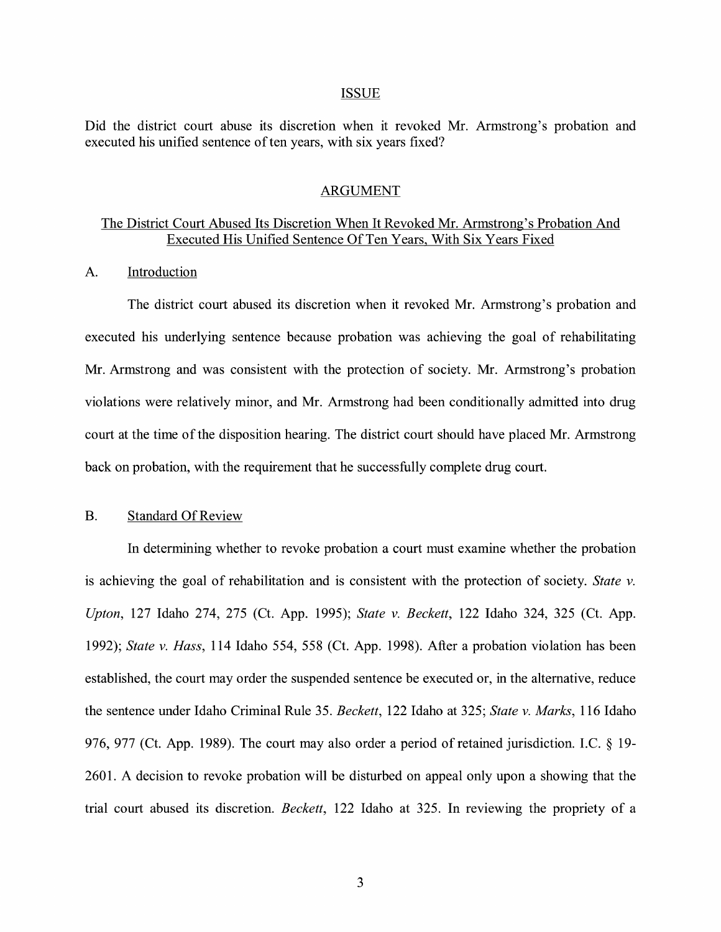#### ISSUE

Did the district court abuse its discretion when it revoked Mr. Armstrong's probation and executed his unified sentence of ten years, with six years fixed?

#### ARGUMENT

#### The District Court Abused Its Discretion When It Revoked Mr. Armstrong's Probation And Executed His Unified Sentence Of Ten Years, With Six Years Fixed

#### A. Introduction

The district court abused its discretion when it revoked Mr. Armstrong's probation and executed his underlying sentence because probation was achieving the goal of rehabilitating Mr. Armstrong and was consistent with the protection of society. Mr. Armstrong's probation violations were relatively minor, and Mr. Armstrong had been conditionally admitted into drug court at the time of the disposition hearing. The district court should have placed Mr. Armstrong back on probation, with the requirement that he successfully complete drug court.

#### B. Standard Of Review

In determining whether to revoke probation a court must examine whether the probation is achieving the goal of rehabilitation and is consistent with the protection of society. *State v. Upton,* 127 Idaho 274, 275 (Ct. App. 1995); *State v. Beckett,* 122 Idaho 324, 325 (Ct. App. 1992); *State v. Hass,* 114 Idaho 554, 558 (Ct. App. 1998). After a probation violation has been established, the court may order the suspended sentence be executed or, in the alternative, reduce the sentence under Idaho Criminal Rule 35. *Beckett,* 122 Idaho at 325; *State v. Marks,* 116 Idaho 976, 977 (Ct. App. 1989). The court may also order a period of retained jurisdiction. LC. § 19- 2601. A decision to revoke probation will be disturbed on appeal only upon a showing that the trial court abused its discretion. *Beckett,* 122 Idaho at 325. In reviewing the propriety of a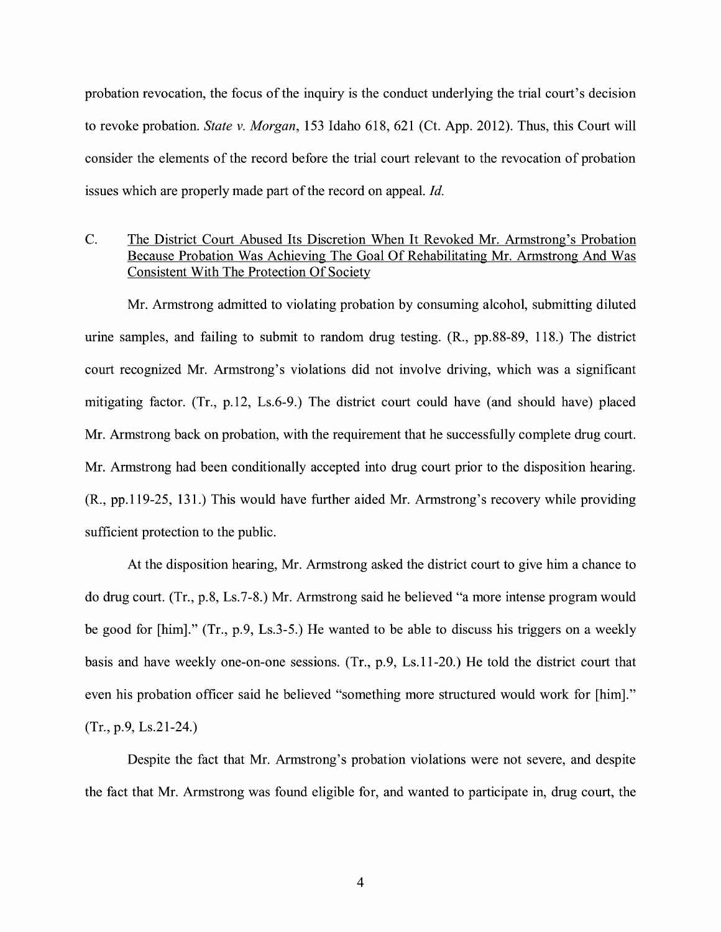probation revocation, the focus of the inquiry is the conduct underlying the trial court's decision to revoke probation. *State v. Morgan,* 153 Idaho 618, 621 (Ct. App. 2012). Thus, this Court will consider the elements of the record before the trial court relevant to the revocation of probation issues which are properly made part of the record on appeal. *Id.* 

### C. The District Court Abused Its Discretion When It Revoked Mr. Armstrong's Probation Because Probation Was Achieving The Goal Of Rehabilitating Mr. Armstrong And Was Consistent With The Protection Of Society

Mr. Armstrong admitted to violating probation by consuming alcohol, submitting diluted urine samples, and failing to submit to random drug testing. (R., pp.88-89, 118.) The district court recognized Mr. Armstrong's violations did not involve driving, which was a significant mitigating factor. (Tr., p.12, Ls.6-9.) The district court could have (and should have) placed Mr. Armstrong back on probation, with the requirement that he successfully complete drug court. Mr. Armstrong had been conditionally accepted into drug court prior to the disposition hearing. (R., pp.119-25, 131.) This would have further aided Mr. Armstrong's recovery while providing sufficient protection to the public.

At the disposition hearing, Mr. Armstrong asked the district court to give him a chance to do drug court. (Tr., p.8, Ls.7-8.) Mr. Armstrong said he believed "a more intense program would be good for [him]." (Tr., p.9, Ls.3-5.) He wanted to be able to discuss his triggers on a weekly basis and have weekly one-on-one sessions. (Tr., p.9, Ls.11-20.) He told the district court that even his probation officer said he believed "something more structured would work for [him]." (Tr., p.9, Ls.21-24.)

Despite the fact that Mr. Armstrong's probation violations were not severe, and despite the fact that Mr. Armstrong was found eligible for, and wanted to participate in, drug court, the